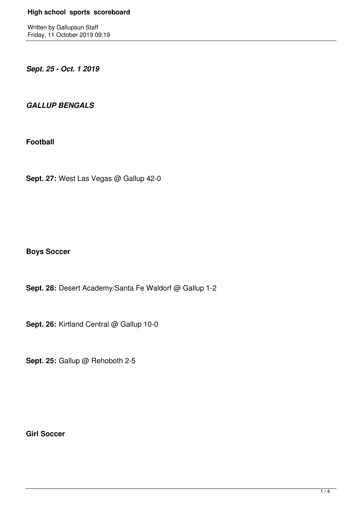Written by Gallupsun Staff Friday, 11 October 2019 09:19

*Sept. 25 - Oct. 1 2019*

*GALLUP BENGALS* 

**Football**

**Sept. 27:** West Las Vegas @ Gallup 42-0

**Boys Soccer**

**Sept. 28:** Desert Academy/Santa Fe Waldorf @ Gallup 1-2

**Sept. 26:** Kirtland Central @ Gallup 10-0

**Sept. 25:** Gallup @ Rehoboth 2-5

**Girl Soccer**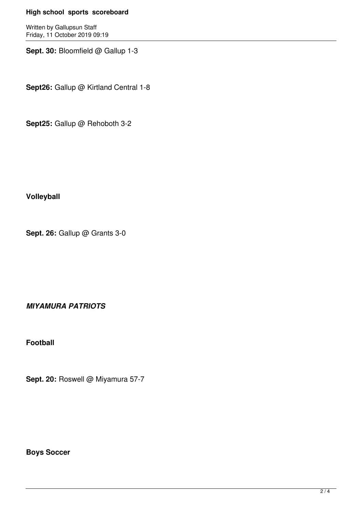## **High school sports scoreboard**

Written by Gallupsun Staff Friday, 11 October 2019 09:19

**Sept. 30:** Bloomfield @ Gallup 1-3

**Sept26:** Gallup @ Kirtland Central 1-8

**Sept25:** Gallup @ Rehoboth 3-2

**Volleyball**

**Sept. 26:** Gallup @ Grants 3-0

*MIYAMURA PATRIOTS*

**Football**

**Sept. 20: Roswell @ Miyamura 57-7** 

**Boys Soccer**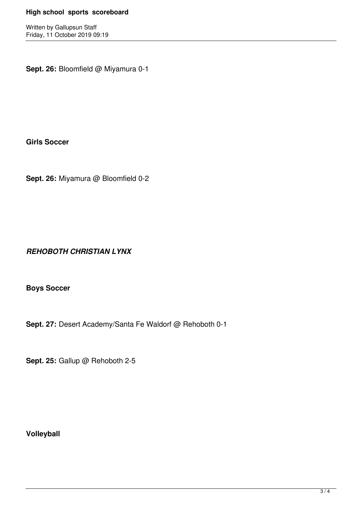## **High school sports scoreboard**

Written by Gallupsun Staff Friday, 11 October 2019 09:19

**Sept. 26:** Bloomfield @ Miyamura 0-1

**Girls Soccer**

**Sept. 26:** Miyamura @ Bloomfield 0-2

*REHOBOTH CHRISTIAN LYNX*

**Boys Soccer**

**Sept. 27:** Desert Academy/Santa Fe Waldorf @ Rehoboth 0-1

**Sept. 25:** Gallup @ Rehoboth 2-5

**Volleyball**